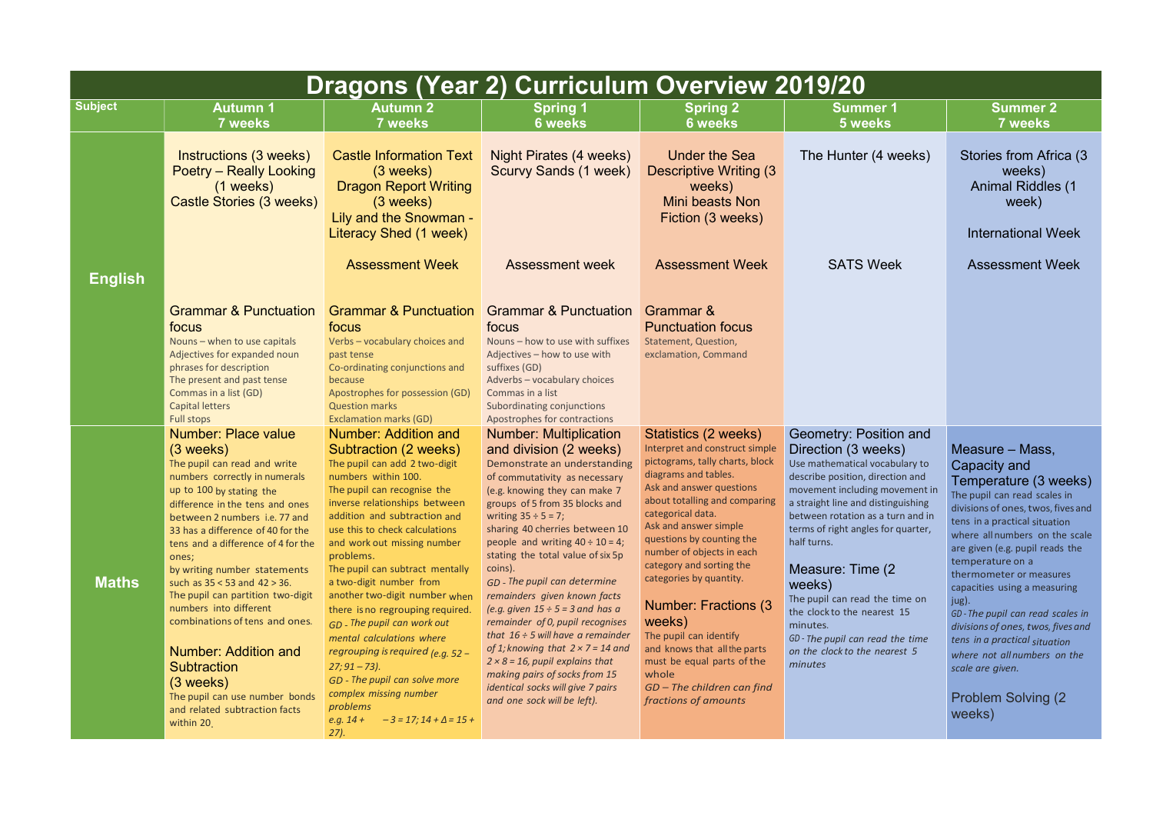|                | <b>Dragons (Year 2) Curriculum Overview 2019/20</b>                                                                                                                                                                                                                                                                                                                                                                                                                                                                                                                                                                                |                                                                                                                                                                                                                                                                                                                                                                                                                                                                                                                                                                                                                                                                                          |                                                                                                                                                                                                                                                                                                                                                                                                                                                                                                                                                                                                                                                                                                                                        |                                                                                                                                                                                                                                                                                                                                                                                                                                                                                                                                                  |                                                                                                                                                                                                                                                                                                                                                                                                                                                                                   |                                                                                                                                                                                                                                                                                                                                                                                                                                                                                                                                    |  |
|----------------|------------------------------------------------------------------------------------------------------------------------------------------------------------------------------------------------------------------------------------------------------------------------------------------------------------------------------------------------------------------------------------------------------------------------------------------------------------------------------------------------------------------------------------------------------------------------------------------------------------------------------------|------------------------------------------------------------------------------------------------------------------------------------------------------------------------------------------------------------------------------------------------------------------------------------------------------------------------------------------------------------------------------------------------------------------------------------------------------------------------------------------------------------------------------------------------------------------------------------------------------------------------------------------------------------------------------------------|----------------------------------------------------------------------------------------------------------------------------------------------------------------------------------------------------------------------------------------------------------------------------------------------------------------------------------------------------------------------------------------------------------------------------------------------------------------------------------------------------------------------------------------------------------------------------------------------------------------------------------------------------------------------------------------------------------------------------------------|--------------------------------------------------------------------------------------------------------------------------------------------------------------------------------------------------------------------------------------------------------------------------------------------------------------------------------------------------------------------------------------------------------------------------------------------------------------------------------------------------------------------------------------------------|-----------------------------------------------------------------------------------------------------------------------------------------------------------------------------------------------------------------------------------------------------------------------------------------------------------------------------------------------------------------------------------------------------------------------------------------------------------------------------------|------------------------------------------------------------------------------------------------------------------------------------------------------------------------------------------------------------------------------------------------------------------------------------------------------------------------------------------------------------------------------------------------------------------------------------------------------------------------------------------------------------------------------------|--|
| <b>Subject</b> | <b>Autumn 1</b><br><b>7 weeks</b>                                                                                                                                                                                                                                                                                                                                                                                                                                                                                                                                                                                                  | Autumn 2<br>7 weeks                                                                                                                                                                                                                                                                                                                                                                                                                                                                                                                                                                                                                                                                      | <b>Spring 1</b><br><b>6 weeks</b>                                                                                                                                                                                                                                                                                                                                                                                                                                                                                                                                                                                                                                                                                                      | <b>Spring 2</b><br><b>6 weeks</b>                                                                                                                                                                                                                                                                                                                                                                                                                                                                                                                | <b>Summer 1</b><br>5 weeks                                                                                                                                                                                                                                                                                                                                                                                                                                                        | <b>Summer 2</b><br><b>7 weeks</b>                                                                                                                                                                                                                                                                                                                                                                                                                                                                                                  |  |
|                | Instructions (3 weeks)<br><b>Poetry – Really Looking</b><br>$(1$ weeks)<br>Castle Stories (3 weeks)                                                                                                                                                                                                                                                                                                                                                                                                                                                                                                                                | <b>Castle Information Text</b><br>$(3 \text{ weeks})$<br><b>Dragon Report Writing</b><br>$(3 \text{ weeks})$<br>Lily and the Snowman -<br>Literacy Shed (1 week)                                                                                                                                                                                                                                                                                                                                                                                                                                                                                                                         | Night Pirates (4 weeks)<br><b>Scurvy Sands (1 week)</b>                                                                                                                                                                                                                                                                                                                                                                                                                                                                                                                                                                                                                                                                                | <b>Under the Sea</b><br><b>Descriptive Writing (3)</b><br>weeks)<br><b>Mini beasts Non</b><br>Fiction (3 weeks)                                                                                                                                                                                                                                                                                                                                                                                                                                  | The Hunter (4 weeks)                                                                                                                                                                                                                                                                                                                                                                                                                                                              | Stories from Africa (3)<br>weeks)<br><b>Animal Riddles (1</b><br>week)<br><b>International Week</b>                                                                                                                                                                                                                                                                                                                                                                                                                                |  |
| <b>English</b> |                                                                                                                                                                                                                                                                                                                                                                                                                                                                                                                                                                                                                                    | <b>Assessment Week</b>                                                                                                                                                                                                                                                                                                                                                                                                                                                                                                                                                                                                                                                                   | <b>Assessment week</b>                                                                                                                                                                                                                                                                                                                                                                                                                                                                                                                                                                                                                                                                                                                 | <b>Assessment Week</b>                                                                                                                                                                                                                                                                                                                                                                                                                                                                                                                           | <b>SATS Week</b>                                                                                                                                                                                                                                                                                                                                                                                                                                                                  | <b>Assessment Week</b>                                                                                                                                                                                                                                                                                                                                                                                                                                                                                                             |  |
|                | <b>Grammar &amp; Punctuation</b><br>focus<br>Nouns - when to use capitals<br>Adjectives for expanded noun<br>phrases for description<br>The present and past tense<br>Commas in a list (GD)<br><b>Capital letters</b><br>Full stops                                                                                                                                                                                                                                                                                                                                                                                                | <b>Grammar &amp; Punctuation</b><br>focus<br>Verbs - vocabulary choices and<br>past tense<br>Co-ordinating conjunctions and<br>because<br>Apostrophes for possession (GD)<br><b>Question marks</b><br><b>Exclamation marks (GD)</b>                                                                                                                                                                                                                                                                                                                                                                                                                                                      | <b>Grammar &amp; Punctuation</b><br>focus<br>Nouns - how to use with suffixes<br>Adjectives - how to use with<br>suffixes (GD)<br>Adverbs - vocabulary choices<br>Commas in a list<br>Subordinating conjunctions<br>Apostrophes for contractions                                                                                                                                                                                                                                                                                                                                                                                                                                                                                       | Grammar &<br><b>Punctuation focus</b><br>Statement, Question,<br>exclamation, Command                                                                                                                                                                                                                                                                                                                                                                                                                                                            |                                                                                                                                                                                                                                                                                                                                                                                                                                                                                   |                                                                                                                                                                                                                                                                                                                                                                                                                                                                                                                                    |  |
| <b>Maths</b>   | <b>Number: Place value</b><br>$(3 \text{ weeks})$<br>The pupil can read and write<br>numbers correctly in numerals<br>up to 100 by stating the<br>difference in the tens and ones<br>between 2 numbers i.e. 77 and<br>33 has a difference of 40 for the<br>tens and a difference of 4 for the<br>ones;<br>by writing number statements<br>such as $35 < 53$ and $42 > 36$ .<br>The pupil can partition two-digit<br>numbers into different<br>combinations of tens and ones.<br>Number: Addition and<br><b>Subtraction</b><br>$(3 \text{ weeks})$<br>The pupil can use number bonds<br>and related subtraction facts<br>within 20. | <b>Number: Addition and</b><br>Subtraction (2 weeks)<br>The pupil can add 2 two-digit<br>numbers within 100.<br>The pupil can recognise the<br>inverse relationships between<br>addition and subtraction and<br>use this to check calculations<br>and work out missing number<br>problems.<br>The pupil can subtract mentally<br>a two-digit number from<br>another two-digit number when<br>there is no regrouping required.<br>$GD$ - The pupil can work out<br>mental calculations where<br>regrouping is required $(e.g. 52 -$<br>$27; 91 - 73$ ).<br>GD - The pupil can solve more<br>complex missing number<br>problems<br>$-3 = 17; 14 + \Delta = 15 +$<br>$e.g. 14 +$<br>$27$ ). | <b>Number: Multiplication</b><br>and division (2 weeks)<br>Demonstrate an understanding<br>of commutativity as necessary<br>(e.g. knowing they can make 7<br>groups of 5 from 35 blocks and<br>writing $35 \div 5 = 7$ ;<br>sharing 40 cherries between 10<br>people and writing $40 \div 10 = 4$ ;<br>stating the total value of six 5p<br>coins).<br>GD - The pupil can determine<br>remainders given known facts<br>(e.g. given $15 \div 5 = 3$ and has a<br>remainder of 0, pupil recognises<br>that $16 \div 5$ will have a remainder<br>of 1; knowing that $2 \times 7 = 14$ and<br>$2 \times 8 = 16$ , pupil explains that<br>making pairs of socks from 15<br>identical socks will give 7 pairs<br>and one sock will be left). | Statistics (2 weeks)<br>Interpret and construct simple<br>pictograms, tally charts, block<br>diagrams and tables.<br>Ask and answer questions<br>about totalling and comparing<br>categorical data.<br>Ask and answer simple<br>questions by counting the<br>number of objects in each<br>category and sorting the<br>categories by quantity.<br><b>Number: Fractions (3)</b><br>weeks)<br>The pupil can identify<br>and knows that all the parts<br>must be equal parts of the<br>whole<br>$GD$ – The children can find<br>fractions of amounts | Geometry: Position and<br>Direction (3 weeks)<br>Use mathematical vocabulary to<br>describe position, direction and<br>movement including movement in<br>a straight line and distinguishing<br>between rotation as a turn and in<br>terms of right angles for quarter,<br>half turns.<br>Measure: Time (2)<br>weeks)<br>The pupil can read the time on<br>the clock to the nearest 15<br>minutes.<br>GD - The pupil can read the time<br>on the clock to the nearest 5<br>minutes | Measure – Mass,<br>Capacity and<br>Temperature (3 weeks)<br>The pupil can read scales in<br>divisions of ones, twos, fives and<br>tens in a practical situation<br>where all numbers on the scale<br>are given (e.g. pupil reads the<br>temperature on a<br>thermometer or measures<br>capacities using a measuring<br>jug).<br>GD-The pupil can read scales in<br>divisions of ones, twos, fives and<br>tens in a practical situation<br>where not all numbers on the<br>scale are given.<br><b>Problem Solving (2)</b><br>weeks) |  |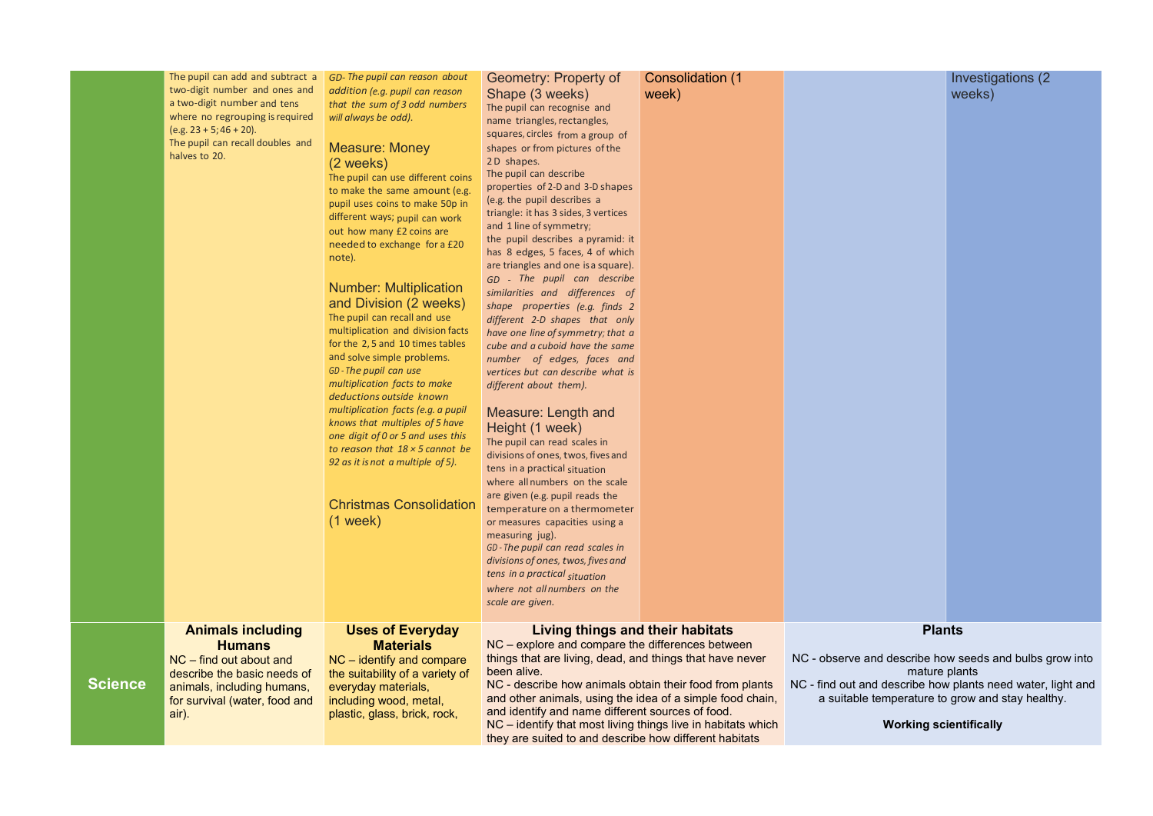|                | The pupil can add and subtract a<br>two-digit number and ones and<br>a two-digit number and tens<br>where no regrouping is required<br>$(e.g. 23 + 5; 46 + 20).$<br>The pupil can recall doubles and<br>halves to 20. | GD-The pupil can reason about<br>addition (e.g. pupil can reason<br>that the sum of 3 odd numbers<br>will always be odd).<br><b>Measure: Money</b><br>$(2 \text{ weeks})$<br>The pupil can use different coins<br>to make the same amount (e.g.<br>pupil uses coins to make 50p in<br>different ways; pupil can work<br>out how many £2 coins are<br>needed to exchange for a £20<br>note).<br><b>Number: Multiplication</b><br>and Division (2 weeks)<br>The pupil can recall and use<br>multiplication and division facts<br>for the 2,5 and 10 times tables<br>and solve simple problems.<br>GD - The pupil can use<br>multiplication facts to make<br>deductions outside known<br>multiplication facts (e.g. a pupil<br>knows that multiples of 5 have<br>one digit of 0 or 5 and uses this<br>to reason that $18 \times 5$ cannot be<br>92 as it is not a multiple of 5).<br><b>Christmas Consolidation</b><br>$(1$ week) | Geometry: Property of<br>Shape (3 weeks)<br>The pupil can recognise and<br>name triangles, rectangles,<br>squares, circles from a group of<br>shapes or from pictures of the<br>2D shapes.<br>The pupil can describe<br>properties of 2-D and 3-D shapes<br>(e.g. the pupil describes a<br>triangle: it has 3 sides, 3 vertices<br>and 1 line of symmetry;<br>the pupil describes a pyramid: it<br>has 8 edges, 5 faces, 4 of which<br>are triangles and one is a square).<br>GD - The pupil can describe<br>similarities and differences of<br>shape properties (e.g. finds 2<br>different 2-D shapes that only<br>have one line of symmetry; that a<br>cube and a cuboid have the same<br>number of edges, faces and<br>vertices but can describe what is<br>different about them).<br>Measure: Length and<br>Height (1 week)<br>The pupil can read scales in<br>divisions of ones, twos, fives and<br>tens in a practical situation<br>where all numbers on the scale<br>are given (e.g. pupil reads the<br>temperature on a thermometer<br>or measures capacities using a<br>measuring jug).<br>GD-The pupil can read scales in<br>divisions of ones, twos, fives and<br>tens in a practical situation<br>where not all numbers on the<br>scale are given. | <b>Consolidation (1)</b><br>week) |                                                  |
|----------------|-----------------------------------------------------------------------------------------------------------------------------------------------------------------------------------------------------------------------|--------------------------------------------------------------------------------------------------------------------------------------------------------------------------------------------------------------------------------------------------------------------------------------------------------------------------------------------------------------------------------------------------------------------------------------------------------------------------------------------------------------------------------------------------------------------------------------------------------------------------------------------------------------------------------------------------------------------------------------------------------------------------------------------------------------------------------------------------------------------------------------------------------------------------------|----------------------------------------------------------------------------------------------------------------------------------------------------------------------------------------------------------------------------------------------------------------------------------------------------------------------------------------------------------------------------------------------------------------------------------------------------------------------------------------------------------------------------------------------------------------------------------------------------------------------------------------------------------------------------------------------------------------------------------------------------------------------------------------------------------------------------------------------------------------------------------------------------------------------------------------------------------------------------------------------------------------------------------------------------------------------------------------------------------------------------------------------------------------------------------------------------------------------------------------------------------------|-----------------------------------|--------------------------------------------------|
|                | <b>Animals including</b>                                                                                                                                                                                              | <b>Uses of Everyday</b>                                                                                                                                                                                                                                                                                                                                                                                                                                                                                                                                                                                                                                                                                                                                                                                                                                                                                                        | Living things and their habitats                                                                                                                                                                                                                                                                                                                                                                                                                                                                                                                                                                                                                                                                                                                                                                                                                                                                                                                                                                                                                                                                                                                                                                                                                               |                                   |                                                  |
| <b>Science</b> | <b>Humans</b><br>$NC$ – find out about and<br>describe the basic needs of<br>animals, including humans,<br>for survival (water, food and<br>air).                                                                     | <b>Materials</b><br>$NC$ – identify and compare<br>the suitability of a variety of<br>everyday materials,<br>including wood, metal,<br>plastic, glass, brick, rock,                                                                                                                                                                                                                                                                                                                                                                                                                                                                                                                                                                                                                                                                                                                                                            | NC - explore and compare the differences between<br>things that are living, dead, and things that have never<br>been alive.<br>NC - describe how animals obtain their food from plants<br>and other animals, using the idea of a simple food chain,<br>and identify and name different sources of food.<br>NC – identify that most living things live in habitats which<br>they are suited to and describe how different habitats                                                                                                                                                                                                                                                                                                                                                                                                                                                                                                                                                                                                                                                                                                                                                                                                                              |                                   | NC - observe a<br>NC - find out ar<br>a suitable |

## Investigations (2 weeks)

## **Plants**

NC - observe and describe how seeds and bulbs grow into mature plants NC - find out and describe how plants need water, light and a suitable temperature to grow and stay healthy.

## Working scientifically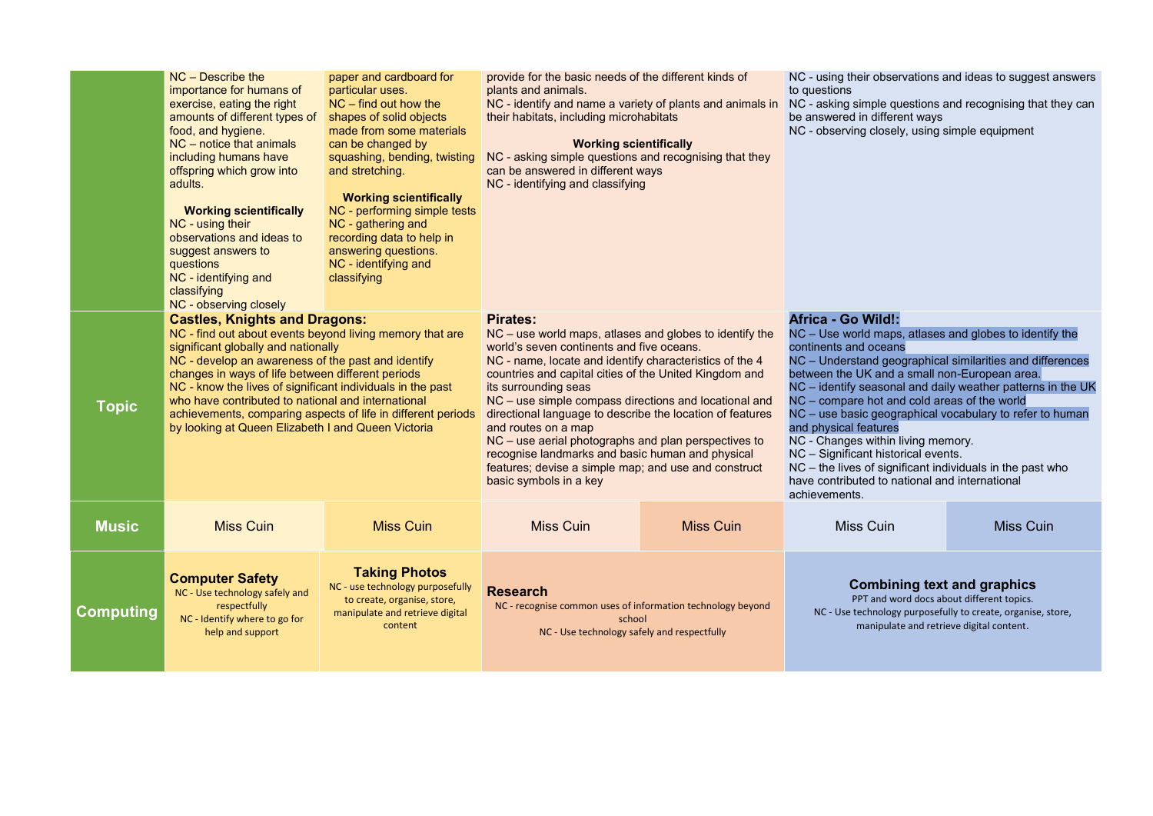|                  | $NC$ – Describe the<br>importance for humans of<br>exercise, eating the right<br>amounts of different types of shapes of solid objects<br>food, and hygiene.<br>$NC$ – notice that animals<br>including humans have<br>offspring which grow into<br>adults.<br><b>Working scientifically</b><br>NC - using their<br>observations and ideas to<br>suggest answers to<br>questions<br>NC - identifying and<br>classifying<br>NC - observing closely                                            | paper and cardboard for<br>particular uses.<br>$NC$ – find out how the<br>made from some materials<br>can be changed by<br>squashing, bending, twisting<br>and stretching.<br><b>Working scientifically</b><br>NC - performing simple tests<br>NC - gathering and<br>recording data to help in<br>answering questions.<br>NC - identifying and<br>classifying | provide for the basic needs of the different kinds of<br>plants and animals.<br>NC - identify and name a variety of plants and animals in<br>their habitats, including microhabitats<br><b>Working scientifically</b><br>NC - asking simple questions and recognising that they<br>can be answered in different ways<br>NC - identifying and classifying                                                                                                                                                                                                                                                        |                  | NC - using their observations and ideas to suggest a<br>to questions<br>NC - asking simple questions and recognising that the<br>be answered in different ways<br>NC - observing closely, using simple equipment                                                                                                                                                                                                                                                                                                                                                                                                 |           |  |
|------------------|----------------------------------------------------------------------------------------------------------------------------------------------------------------------------------------------------------------------------------------------------------------------------------------------------------------------------------------------------------------------------------------------------------------------------------------------------------------------------------------------|---------------------------------------------------------------------------------------------------------------------------------------------------------------------------------------------------------------------------------------------------------------------------------------------------------------------------------------------------------------|-----------------------------------------------------------------------------------------------------------------------------------------------------------------------------------------------------------------------------------------------------------------------------------------------------------------------------------------------------------------------------------------------------------------------------------------------------------------------------------------------------------------------------------------------------------------------------------------------------------------|------------------|------------------------------------------------------------------------------------------------------------------------------------------------------------------------------------------------------------------------------------------------------------------------------------------------------------------------------------------------------------------------------------------------------------------------------------------------------------------------------------------------------------------------------------------------------------------------------------------------------------------|-----------|--|
| <b>Topic</b>     | <b>Castles, Knights and Dragons:</b><br>NC - find out about events beyond living memory that are<br>significant globally and nationally<br>NC - develop an awareness of the past and identify<br>changes in ways of life between different periods<br>NC - know the lives of significant individuals in the past<br>who have contributed to national and international<br>achievements, comparing aspects of life in different periods<br>by looking at Queen Elizabeth I and Queen Victoria |                                                                                                                                                                                                                                                                                                                                                               | <b>Pirates:</b><br>NC – use world maps, atlases and globes to identify the<br>world's seven continents and five oceans.<br>NC - name, locate and identify characteristics of the 4<br>countries and capital cities of the United Kingdom and<br>its surrounding seas<br>NC – use simple compass directions and locational and<br>directional language to describe the location of features<br>and routes on a map<br>NC – use aerial photographs and plan perspectives to<br>recognise landmarks and basic human and physical<br>features; devise a simple map; and use and construct<br>basic symbols in a key |                  | Africa - Go Wild!:<br>NC - Use world maps, atlases and globes to identify<br>continents and oceans<br>NC - Understand geographical similarities and differ<br>between the UK and a small non-European area.<br>NC – identify seasonal and daily weather patterns in<br>NC – compare hot and cold areas of the world<br>NC – use basic geographical vocabulary to refer to h<br>and physical features<br>NC - Changes within living memory.<br>NC - Significant historical events.<br>NC – the lives of significant individuals in the past wl<br>have contributed to national and international<br>achievements. |           |  |
| <b>Music</b>     | <b>Miss Cuin</b>                                                                                                                                                                                                                                                                                                                                                                                                                                                                             | <b>Miss Cuin</b>                                                                                                                                                                                                                                                                                                                                              | <b>Miss Cuin</b>                                                                                                                                                                                                                                                                                                                                                                                                                                                                                                                                                                                                | <b>Miss Cuin</b> | <b>Miss Cuin</b>                                                                                                                                                                                                                                                                                                                                                                                                                                                                                                                                                                                                 | Miss Cuin |  |
| <b>Computing</b> | <b>Computer Safety</b><br>NC - Use technology safely and<br>respectfully<br>NC - Identify where to go for<br>help and support                                                                                                                                                                                                                                                                                                                                                                | <b>Taking Photos</b><br>NC - use technology purposefully<br>to create, organise, store,<br>manipulate and retrieve digital<br>content                                                                                                                                                                                                                         | <b>Research</b><br>NC - recognise common uses of information technology beyond<br>school<br>NC - Use technology safely and respectfully                                                                                                                                                                                                                                                                                                                                                                                                                                                                         |                  | <b>Combining text and graphics</b><br>PPT and word docs about different topics.<br>NC - Use technology purposefully to create, organise, sto<br>manipulate and retrieve digital content.                                                                                                                                                                                                                                                                                                                                                                                                                         |           |  |

observations and ideas to suggest answers

ple questions and recognising that they can different ways  $\log$  -  $\frac{1}{2}$  closely, using simple equipment

## $R$ ild!:

maps, atlases and globes to identify the  $c$ eans

PPT and word docs about different topics. nology purposefully to create, organise, store, ipulate and retrieve digital content.

NC – Understand geographical similarities and differences between the UK and a small non-European area.

NC – identify seasonal and daily weather patterns in the UK NC – compare hot and cold areas of the world

geographical vocabulary to refer to human tures

 $\mathfrak f$  significant individuals in the past who

### Combining text and graphics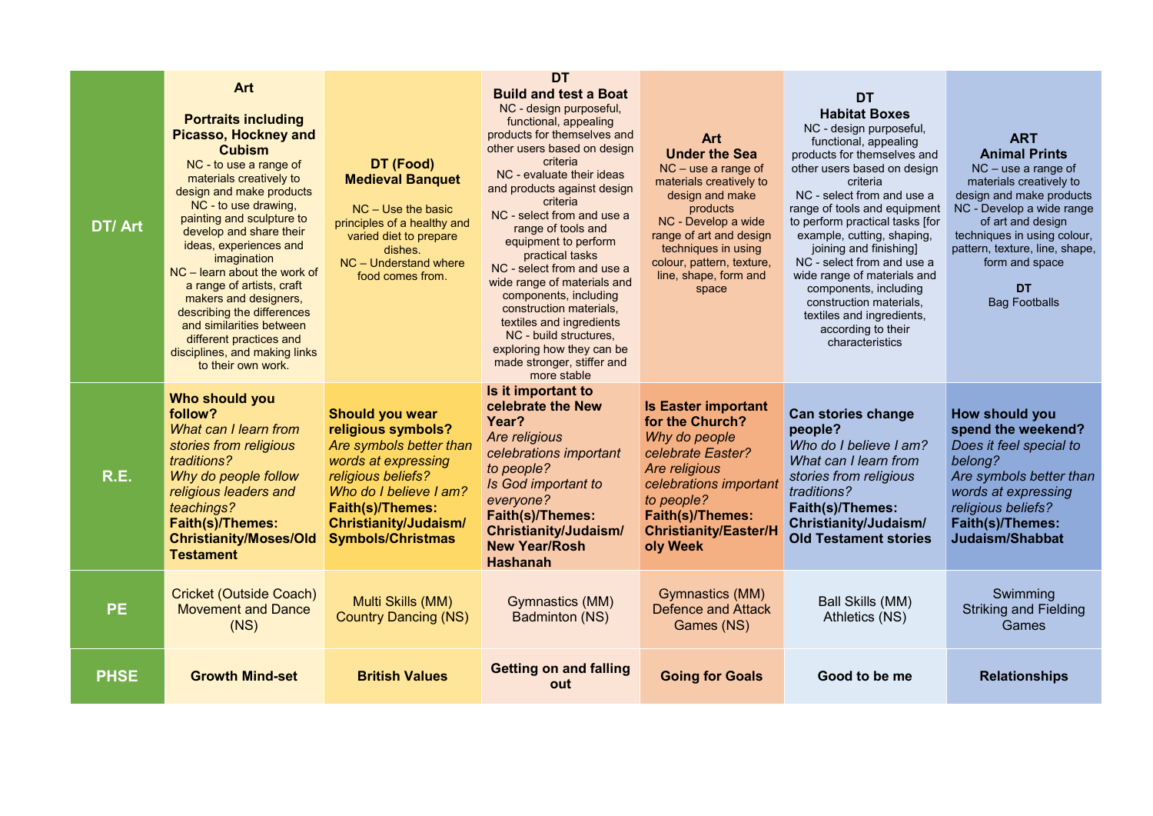**DT** Bag Footballs

## change

ieve I am?  $\mathsf{learn}$  from religious

 $mes:$ Judaism/ ent stories

 $\textsf{lls} \textsf{(\textsf{MM})}$  $\overline{\mathsf{S}(\mathsf{NS})}^\mathsf{T}$ 

Swimming Striking and Fielding **Games** 

## be me Relationships

| DT/Art      | <b>Art</b><br><b>Portraits including</b><br><b>Picasso, Hockney and</b><br><b>Cubism</b><br>NC - to use a range of<br>materials creatively to<br>design and make products<br>NC - to use drawing,<br>painting and sculpture to<br>develop and share their<br>ideas, experiences and<br>imagination<br>$NC$ – learn about the work of<br>a range of artists, craft<br>makers and designers,<br>describing the differences<br>and similarities between<br>different practices and<br>disciplines, and making links<br>to their own work. | DT (Food)<br><b>Medieval Banquet</b><br>$NC$ – Use the basic<br>principles of a healthy and<br>varied diet to prepare<br>dishes.<br>NC - Understand where<br>food comes from.                                                         | <b>DT</b><br><b>Build and test a Boat</b><br>NC - design purposeful,<br>functional, appealing<br>products for themselves and<br>other users based on design<br>criteria<br>NC - evaluate their ideas<br>and products against design<br>criteria<br>NC - select from and use a<br>range of tools and<br>equipment to perform<br>practical tasks<br>NC - select from and use a<br>wide range of materials and<br>components, including<br>construction materials,<br>textiles and ingredients<br>NC - build structures,<br>exploring how they can be<br>made stronger, stiffer and<br>more stable | <b>Art</b><br><b>Under the Sea</b><br>$NC$ – use a range of<br>materials creatively to<br>design and make<br>products<br>NC - Develop a wide<br>range of art and design<br>techniques in using<br>colour, pattern, texture,<br>line, shape, form and<br>space | <b>DT</b><br><b>Habitat B</b><br>NC - design pu<br>functional, ap<br>products for then<br>other users base<br>criteria<br>NC - select from<br>range of tools and<br>to perform praction<br>example, cutting<br>joining and fi<br>NC - select from<br>wide range of ma<br>components,<br>construction n<br>textiles and ing<br>according t<br>characteri |
|-------------|----------------------------------------------------------------------------------------------------------------------------------------------------------------------------------------------------------------------------------------------------------------------------------------------------------------------------------------------------------------------------------------------------------------------------------------------------------------------------------------------------------------------------------------|---------------------------------------------------------------------------------------------------------------------------------------------------------------------------------------------------------------------------------------|-------------------------------------------------------------------------------------------------------------------------------------------------------------------------------------------------------------------------------------------------------------------------------------------------------------------------------------------------------------------------------------------------------------------------------------------------------------------------------------------------------------------------------------------------------------------------------------------------|---------------------------------------------------------------------------------------------------------------------------------------------------------------------------------------------------------------------------------------------------------------|---------------------------------------------------------------------------------------------------------------------------------------------------------------------------------------------------------------------------------------------------------------------------------------------------------------------------------------------------------|
| R.E.        | Who should you<br>follow?<br>What can I learn from<br>stories from religious<br>traditions?<br>Why do people follow<br>religious leaders and<br>teachings?<br><b>Faith(s)/Themes:</b><br><b>Christianity/Moses/Old</b><br><b>Testament</b>                                                                                                                                                                                                                                                                                             | <b>Should you wear</b><br>religious symbols?<br>Are symbols better than<br>words at expressing<br>religious beliefs?<br>Who do I believe I am?<br><b>Faith(s)/Themes:</b><br><b>Christianity/Judaism/</b><br><b>Symbols/Christmas</b> | Is it important to<br>celebrate the New<br>Year?<br>Are religious<br>celebrations important<br>to people?<br><b>Is God important to</b><br>everyone?<br><b>Faith(s)/Themes:</b><br><b>Christianity/Judaism/</b><br><b>New Year/Rosh</b><br><b>Hashanah</b>                                                                                                                                                                                                                                                                                                                                      | <b>Is Easter important</b><br>for the Church?<br>Why do people<br>celebrate Easter?<br>Are religious<br>celebrations important<br>to people?<br><b>Faith(s)/Themes:</b><br><b>Christianity/Easter/H</b><br>oly Week                                           | <b>Can stories ch</b><br>people?<br>Who do I belie<br>What can I lear<br>stories from rel<br>traditions?<br>Faith(s)/Them<br><b>Christianity/Ju</b><br><b>Old Testamen</b>                                                                                                                                                                              |
| <b>PE</b>   | <b>Cricket (Outside Coach)</b><br><b>Movement and Dance</b><br>(NS)                                                                                                                                                                                                                                                                                                                                                                                                                                                                    | Multi Skills (MM)<br><b>Country Dancing (NS)</b>                                                                                                                                                                                      | <b>Gymnastics (MM)</b><br><b>Badminton (NS)</b>                                                                                                                                                                                                                                                                                                                                                                                                                                                                                                                                                 | Gymnastics (MM)<br><b>Defence and Attack</b><br>Games (NS)                                                                                                                                                                                                    | <b>Ball Skills</b><br><b>Athletics</b>                                                                                                                                                                                                                                                                                                                  |
| <b>PHSE</b> | <b>Growth Mind-set</b>                                                                                                                                                                                                                                                                                                                                                                                                                                                                                                                 | <b>British Values</b>                                                                                                                                                                                                                 | <b>Getting on and falling</b><br>out                                                                                                                                                                                                                                                                                                                                                                                                                                                                                                                                                            | <b>Going for Goals</b>                                                                                                                                                                                                                                        | Good to b                                                                                                                                                                                                                                                                                                                                               |

## **Boxes**

purposeful, appealing emselves and sed on design eria om and use a and equipment

 $ctical$  tasks [for ing, shaping, I finishing]  $om$  and use a materials and s, including n materials,  $ing$ redients,  $\frac{3}{5}$  to their eristics

## ART Animal Prints

NC – use a range of materials creatively to design and make products NC - Develop a wide range of art and design techniques in using colour, pattern, texture, line, shape, form and space

How should you spend the weekend? Does it feel special to belong? Are symbols better than words at expressing religious beliefs? Faith(s)/Themes: Judaism/Shabbat